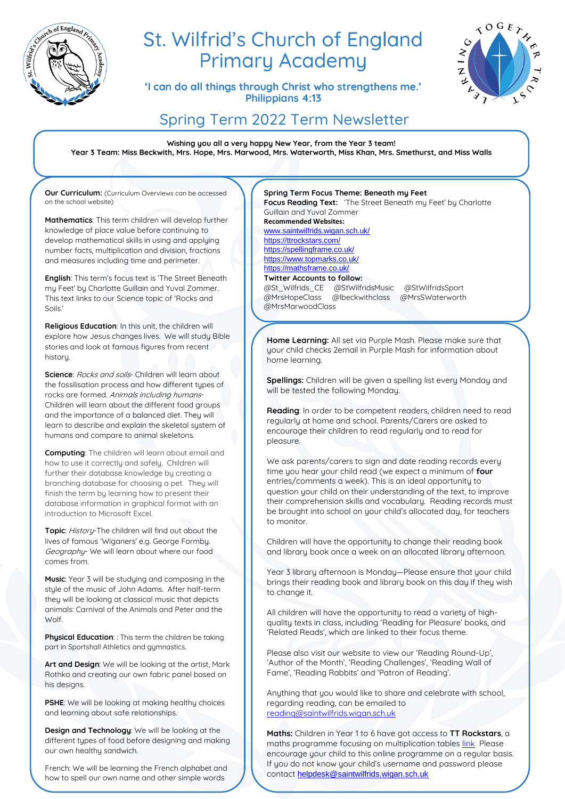

# St. Wilfrid's Church of England **Primary Academy**

'I can do all things through Christ who strengthens me.' Philippians 4:13



## Spring Term 2022 Term Newsletter

**Wishing you all a very happy New Year, from the Year 3 team! Year 3 Team: Miss Beckwith, Mrs. Hope, Mrs. Marwood, Mrs. Waterworth, Miss Khan, Mrs. Smethurst, and Miss Walls**

**Our Curriculum:** (Curriculum Overviews can be accessed on the school website)

**Mathematics**: This term children will develop further knowledge of place value before continuing to develop mathematical skills in using and applying number facts, multiplication and division, fractions and measures including time and perimeter.

**English**: This term's focus text is 'The Street Beneath my Feet' by Charlotte Guillain and Yuval Zommer. This text links to our Science topic of 'Rocks and Soils.'

**Religious Education**: In this unit, the children will explore how Jesus changes lives. We will study Bible stories and look at famous figures from recent historu

**Science**: Rocks and soils- Children will learn about the fossilisation process and how different types of rocks are formed. Animals including humans-Children will learn about the different food groups and the importance of a balanced diet. They will learn to describe and explain the skeletal system of humans and compare to animal skeletons.

**Computing**: The children will learn about email and how to use it correctly and safely. Children will further their database knowledge by creating a branching database for choosing a pet. They will finish the term by learning how to present their database information in graphical format with an introduction to Microsoft Excel.

**Topic**: History-The children will find out about the lives of famous 'Wiganers' e.g. George Formby. Geography- We will learn about where our food comes from.

**Music**: Year 3 will be studying and composing in the style of the music of John Adams. After half-term they will be looking at classical music that depicts animals: Carnival of the Animals and Peter and the Wolf.

**Physical Education**: : This term the children be taking part in Sportshall Athletics and gymnastics.

**Art and Design**: We will be looking at the artist, Mark Rothko and creating our own fabric panel based on his designs.

**PSHE**: We will be looking at making healthy choices and learning about safe relationships.

**Design and Technology**: We will be looking at the different types of food before designing and making our own healthy sandwich.

French: We will be learning the French alphabet and how to spell our own name and other simple words

in French.

#### **Spring Term Focus Theme: Beneath my Feet Focus Reading Text:** 'The Street Beneath my Feet' by Charlotte

Guillain and Yuval Zommer **Recommended Websites:** [www.saintwilfrids.wigan.sch.uk/](http://www.saintwilfrids.wigan.sch.uk/) <https://ttrockstars.com/> <https://spellingframe.co.uk/>

<https://www.topmarks.co.uk/> <https://mathsframe.co.uk/>

#### **Twitter Accounts to follow:**

@St\_Wilfrids\_CE @StWilfridsMusic @StWilfridsSport @MrsHopeClass @lbeckwithclass @MrsSWaterworth @MrsMarwoodClass

**Home Learning:** All set via Purple Mash. Please make sure that your child checks 2email in Purple Mash for information about home learning.

**Spellings:** Children will be given a spelling list every Monday and will be tested the following Monday.

**Reading**: In order to be competent readers, children need to read regularly at home and school. Parents/Carers are asked to encourage their children to read regularly and to read for pleasure.

We ask parents/carers to sign and date reading records every time you hear your child read (we expect a minimum of **four** entries/comments a week). This is an ideal opportunity to question your child on their understanding of the text, to improve their comprehension skills and vocabulary. Reading records must be brought into school on your child's allocated day, for teachers to monitor.

Children will have the opportunity to change their reading book and library book once a week on an allocated library afternoon.

Year 3 library afternoon is Monday—Please ensure that your child brings their reading book and library book on this day if they wish to change it.

All children will have the opportunity to read a variety of highquality texts in class, including 'Reading for Pleasure' books, and 'Related Reads', which are linked to their focus theme.

Please also visit our website to view our 'Reading Round-Up', 'Author of the Month', 'Reading Challenges', 'Reading Wall of Fame', 'Reading Rabbits' and 'Patron of Reading'.

Anuthing that you would like to share and celebrate with school. regarding reading, can be emailed to [reading@saintwilfrids.wigan.sch.uk](mailto:reading@saintwilfrids.wigan.sch.uk)

**Maths:** Children in Year 1 to 6 have got access to **TT Rockstars**, a maths programme focusing on multiplication tables [link](https://play.ttrockstars.com/auth/school/student) Please encourage your child to this online programme on a regular basis. If you do not know your child's username and password please contact [helpdesk@saintwilfrids.wigan.sch.uk](mailto:helpdesk@saintwilfrids.wigan.sch.uk)